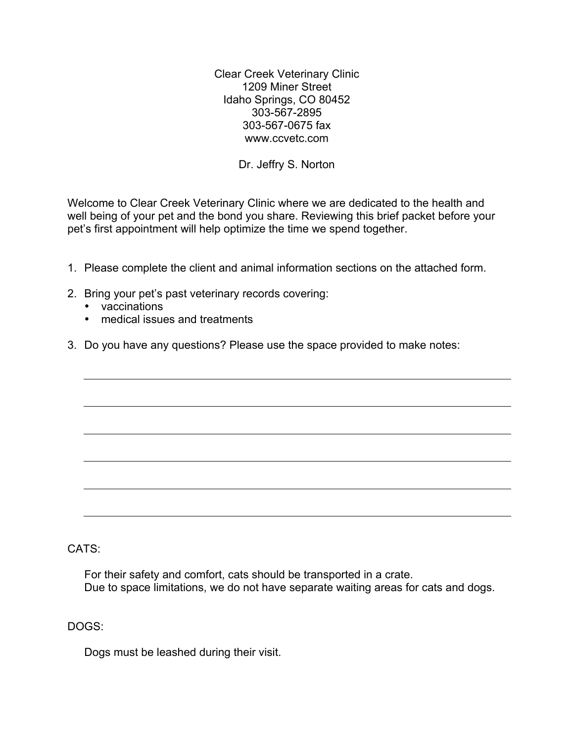Clear Creek Veterinary Clinic 1209 Miner Street Idaho Springs, CO 80452 303-567-2895 303-567-0675 fax www.ccvetc.com

Dr. Jeffry S. Norton

Welcome to Clear Creek Veterinary Clinic where we are dedicated to the health and well being of your pet and the bond you share. Reviewing this brief packet before your pet's first appointment will help optimize the time we spend together.

- 1. Please complete the client and animal information sections on the attached form.
- 2. Bring your pet's past veterinary records covering:
	- vaccinations
	- medical issues and treatments
- 3. Do you have any questions? Please use the space provided to make notes:

CATS:

For their safety and comfort, cats should be transported in a crate. Due to space limitations, we do not have separate waiting areas for cats and dogs.

DOGS:

Dogs must be leashed during their visit.